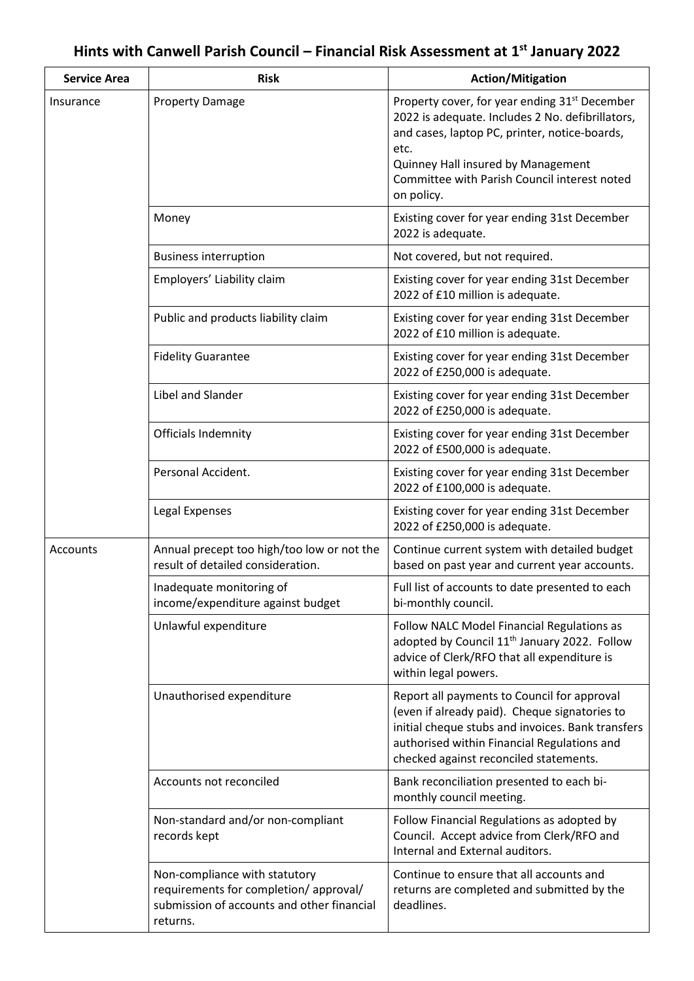## **Hints with Canwell Parish Council – Financial Risk Assessment at 1 st January 2022**

| <b>Service Area</b> | <b>Risk</b>                                                                                                                      | <b>Action/Mitigation</b>                                                                                                                                                                                                                                                   |
|---------------------|----------------------------------------------------------------------------------------------------------------------------------|----------------------------------------------------------------------------------------------------------------------------------------------------------------------------------------------------------------------------------------------------------------------------|
| Insurance           | <b>Property Damage</b>                                                                                                           | Property cover, for year ending 31 <sup>st</sup> December<br>2022 is adequate. Includes 2 No. defibrillators,<br>and cases, laptop PC, printer, notice-boards,<br>etc.<br>Quinney Hall insured by Management<br>Committee with Parish Council interest noted<br>on policy. |
|                     | Money                                                                                                                            | Existing cover for year ending 31st December<br>2022 is adequate.                                                                                                                                                                                                          |
|                     | <b>Business interruption</b>                                                                                                     | Not covered, but not required.                                                                                                                                                                                                                                             |
|                     | Employers' Liability claim                                                                                                       | Existing cover for year ending 31st December<br>2022 of £10 million is adequate.                                                                                                                                                                                           |
|                     | Public and products liability claim                                                                                              | Existing cover for year ending 31st December<br>2022 of £10 million is adequate.                                                                                                                                                                                           |
|                     | <b>Fidelity Guarantee</b>                                                                                                        | Existing cover for year ending 31st December<br>2022 of £250,000 is adequate.                                                                                                                                                                                              |
|                     | Libel and Slander                                                                                                                | Existing cover for year ending 31st December<br>2022 of £250,000 is adequate.                                                                                                                                                                                              |
|                     | Officials Indemnity                                                                                                              | Existing cover for year ending 31st December<br>2022 of £500,000 is adequate.                                                                                                                                                                                              |
|                     | Personal Accident.                                                                                                               | Existing cover for year ending 31st December<br>2022 of £100,000 is adequate.                                                                                                                                                                                              |
|                     | Legal Expenses                                                                                                                   | Existing cover for year ending 31st December<br>2022 of £250,000 is adequate.                                                                                                                                                                                              |
| Accounts            | Annual precept too high/too low or not the<br>result of detailed consideration.                                                  | Continue current system with detailed budget<br>based on past year and current year accounts.                                                                                                                                                                              |
|                     | Inadequate monitoring of<br>income/expenditure against budget                                                                    | Full list of accounts to date presented to each<br>bi-monthly council.                                                                                                                                                                                                     |
|                     | Unlawful expenditure                                                                                                             | Follow NALC Model Financial Regulations as<br>adopted by Council 11 <sup>th</sup> January 2022. Follow<br>advice of Clerk/RFO that all expenditure is<br>within legal powers.                                                                                              |
|                     | Unauthorised expenditure                                                                                                         | Report all payments to Council for approval<br>(even if already paid). Cheque signatories to<br>initial cheque stubs and invoices. Bank transfers<br>authorised within Financial Regulations and<br>checked against reconciled statements.                                 |
|                     | Accounts not reconciled                                                                                                          | Bank reconciliation presented to each bi-<br>monthly council meeting.                                                                                                                                                                                                      |
|                     | Non-standard and/or non-compliant<br>records kept                                                                                | Follow Financial Regulations as adopted by<br>Council. Accept advice from Clerk/RFO and<br>Internal and External auditors.                                                                                                                                                 |
|                     | Non-compliance with statutory<br>requirements for completion/approval/<br>submission of accounts and other financial<br>returns. | Continue to ensure that all accounts and<br>returns are completed and submitted by the<br>deadlines.                                                                                                                                                                       |